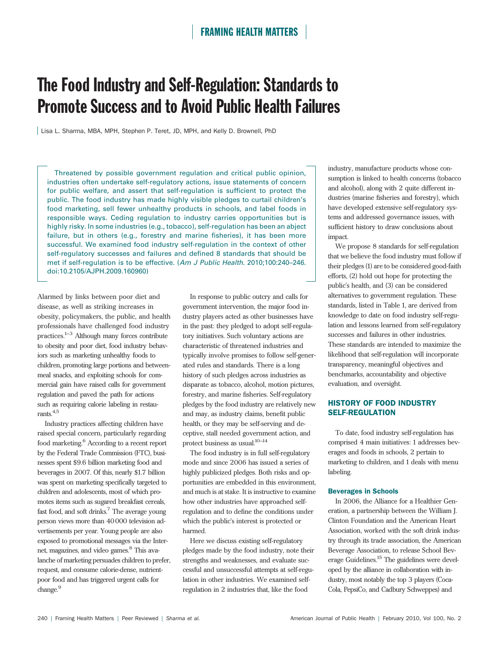# The Food Industry and Self-Regulation: Standards to Promote Success and to Avoid Public Health Failures

Lisa L. Sharma, MBA, MPH, Stephen P. Teret, JD, MPH, and Kelly D. Brownell, PhD

Threatened by possible government regulation and critical public opinion, industries often undertake self-regulatory actions, issue statements of concern for public welfare, and assert that self-regulation is sufficient to protect the public. The food industry has made highly visible pledges to curtail children's food marketing, sell fewer unhealthy products in schools, and label foods in responsible ways. Ceding regulation to industry carries opportunities but is highly risky. In some industries (e.g., tobacco), self-regulation has been an abject failure, but in others (e.g., forestry and marine fisheries), it has been more successful. We examined food industry self-regulation in the context of other self-regulatory successes and failures and defined 8 standards that should be met if self-regulation is to be effective. (Am J Public Health. 2010;100:240–246. doi:10.2105/AJPH.2009.160960)

Alarmed by links between poor diet and disease, as well as striking increases in obesity, policymakers, the public, and health professionals have challenged food industry practices.1–3 Although many forces contribute to obesity and poor diet, food industry behaviors such as marketing unhealthy foods to children, promoting large portions and betweenmeal snacks, and exploiting schools for commercial gain have raised calls for government regulation and paved the path for actions such as requiring calorie labeling in restaurants.<sup>4,5</sup>

Industry practices affecting children have raised special concern, particularly regarding food marketing.<sup>6</sup> According to a recent report by the Federal Trade Commission (FTC), businesses spent \$9.6 billion marketing food and beverages in 2007. Of this, nearly \$1.7 billion was spent on marketing specifically targeted to children and adolescents, most of which promotes items such as sugared breakfast cereals, fast food, and soft drinks.<sup>7</sup> The average young person views more than 40000 television advertisements per year. Young people are also exposed to promotional messages via the Internet, magazines, and video games.<sup>8</sup> This avalanche of marketing persuades children to prefer, request, and consume calorie-dense, nutrientpoor food and has triggered urgent calls for change.<sup>9</sup>

In response to public outcry and calls for government intervention, the major food industry players acted as other businesses have in the past: they pledged to adopt self-regulatory initiatives. Such voluntary actions are characteristic of threatened industries and typically involve promises to follow self-generated rules and standards. There is a long history of such pledges across industries as disparate as tobacco, alcohol, motion pictures, forestry, and marine fisheries. Self-regulatory pledges by the food industry are relatively new and may, as industry claims, benefit public health, or they may be self-serving and deceptive, stall needed government action, and protect business as usual. $10-14$ 

The food industry is in full self-regulatory mode and since 2006 has issued a series of highly publicized pledges. Both risks and opportunities are embedded in this environment, and much is at stake. It is instructive to examine how other industries have approached selfregulation and to define the conditions under which the public's interest is protected or harmed.

Here we discuss existing self-regulatory pledges made by the food industry, note their strengths and weaknesses, and evaluate successful and unsuccessful attempts at self-regulation in other industries. We examined selfregulation in 2 industries that, like the food

industry, manufacture products whose consumption is linked to health concerns (tobacco and alcohol), along with 2 quite different industries (marine fisheries and forestry), which have developed extensive self-regulatory systems and addressed governance issues, with sufficient history to draw conclusions about impact.

We propose 8 standards for self-regulation that we believe the food industry must follow if their pledges (1) are to be considered good-faith efforts, (2) hold out hope for protecting the public's health, and (3) can be considered alternatives to government regulation. These standards, listed in Table 1, are derived from knowledge to date on food industry self-regulation and lessons learned from self-regulatory successes and failures in other industries. These standards are intended to maximize the likelihood that self-regulation will incorporate transparency, meaningful objectives and benchmarks, accountability and objective evaluation, and oversight.

### HISTORY OF FOOD INDUSTRY SELF-REGULATION

To date, food industry self-regulation has comprised 4 main initiatives: 1 addresses beverages and foods in schools, 2 pertain to marketing to children, and 1 deals with menu labeling.

#### Beverages in Schools

In 2006, the Alliance for a Healthier Generation, a partnership between the William J. Clinton Foundation and the American Heart Association, worked with the soft drink industry through its trade association, the American Beverage Association, to release School Beverage Guidelines.15 The guidelines were developed by the alliance in collaboration with industry, most notably the top 3 players (Coca-Cola, PepsiCo, and Cadbury Schweppes) and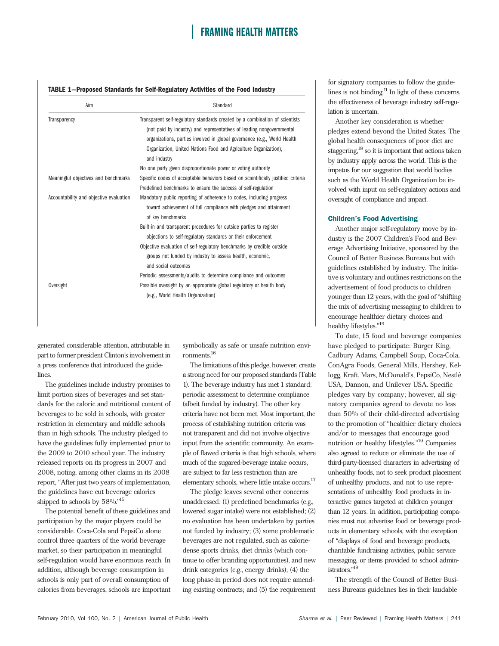#### TABLE 1—Proposed Standards for Self-Regulatory Activities of the Food Industry

| Aim                                     | Standard                                                                                                                                                                                                                                                                                                              |
|-----------------------------------------|-----------------------------------------------------------------------------------------------------------------------------------------------------------------------------------------------------------------------------------------------------------------------------------------------------------------------|
| Transparency                            | Transparent self-regulatory standards created by a combination of scientists<br>(not paid by industry) and representatives of leading nongovernmental<br>organizations, parties involved in global governance (e.g., World Health<br>Organization, United Nations Food and Agriculture Organization),<br>and industry |
|                                         | No one party given disproportionate power or voting authority                                                                                                                                                                                                                                                         |
| Meaningful objectives and benchmarks    | Specific codes of acceptable behaviors based on scientifically justified criteria<br>Predefined benchmarks to ensure the success of self-regulation                                                                                                                                                                   |
| Accountability and objective evaluation | Mandatory public reporting of adherence to codes, including progress<br>toward achievement of full compliance with pledges and attainment<br>of key benchmarks                                                                                                                                                        |
|                                         | Built-in and transparent procedures for outside parties to register<br>objections to self-regulatory standards or their enforcement                                                                                                                                                                                   |
|                                         | Objective evaluation of self-regulatory benchmarks by credible outside<br>groups not funded by industry to assess health, economic,<br>and social outcomes                                                                                                                                                            |
|                                         | Periodic assessments/audits to determine compliance and outcomes                                                                                                                                                                                                                                                      |
| Oversight                               | Possible oversight by an appropriate global regulatory or health body<br>(e.g., World Health Organization)                                                                                                                                                                                                            |

generated considerable attention, attributable in part to former president Clinton's involvement in a press conference that introduced the guidelines.

The guidelines include industry promises to limit portion sizes of beverages and set standards for the caloric and nutritional content of beverages to be sold in schools, with greater restriction in elementary and middle schools than in high schools. The industry pledged to have the guidelines fully implemented prior to the 2009 to 2010 school year. The industry released reports on its progress in 2007 and 2008, noting, among other claims in its 2008 report, ''After just two years of implementation, the guidelines have cut beverage calories shipped to schools by 58%."<sup>15</sup>

The potential benefit of these guidelines and participation by the major players could be considerable. Coca-Cola and PepsiCo alone control three quarters of the world beverage market, so their participation in meaningful self-regulation would have enormous reach. In addition, although beverage consumption in schools is only part of overall consumption of calories from beverages, schools are important symbolically as safe or unsafe nutrition environments.16

The limitations of this pledge, however, create a strong need for our proposed standards (Table 1). The beverage industry has met 1 standard: periodic assessment to determine compliance (albeit funded by industry). The other key criteria have not been met. Most important, the process of establishing nutrition criteria was not transparent and did not involve objective input from the scientific community. An example of flawed criteria is that high schools, where much of the sugared-beverage intake occurs, are subject to far less restriction than are elementary schools, where little intake occurs.<sup>17</sup>

The pledge leaves several other concerns unaddressed: (1) predefined benchmarks (e.g., lowered sugar intake) were not established; (2) no evaluation has been undertaken by parties not funded by industry; (3) some problematic beverages are not regulated, such as caloriedense sports drinks, diet drinks (which continue to offer branding opportunities), and new drink categories (e.g., energy drinks); (4) the long phase-in period does not require amending existing contracts; and (5) the requirement

for signatory companies to follow the guidelines is not binding.<sup>11</sup> In light of these concerns, the effectiveness of beverage industry self-regulation is uncertain.

Another key consideration is whether pledges extend beyond the United States. The global health consequences of poor diet are staggering, $18$  so it is important that actions taken by industry apply across the world. This is the impetus for our suggestion that world bodies such as the World Health Organization be involved with input on self-regulatory actions and oversight of compliance and impact.

#### Children's Food Advertising

Another major self-regulatory move by industry is the 2007 Children's Food and Beverage Advertising Initiative, sponsored by the Council of Better Business Bureaus but with guidelines established by industry. The initiative is voluntary and outlines restrictions on the advertisement of food products to children younger than 12 years, with the goal of ''shifting the mix of advertising messaging to children to encourage healthier dietary choices and healthy lifestyles."<sup>19</sup>

To date, 15 food and beverage companies have pledged to participate: Burger King, Cadbury Adams, Campbell Soup, Coca-Cola, ConAgra Foods, General Mills, Hershey, Kellogg, Kraft, Mars, McDonald's, PepsiCo, Nestle´ USA, Dannon, and Unilever USA. Specific pledges vary by company; however, all signatory companies agreed to devote no less than 50% of their child-directed advertising to the promotion of ''healthier dietary choices and/or to messages that encourage good nutrition or healthy lifestyles.''19 Companies also agreed to reduce or eliminate the use of third-party-licensed characters in advertising of unhealthy foods, not to seek product placement of unhealthy products, and not to use representations of unhealthy food products in interactive games targeted at children younger than 12 years. In addition, participating companies must not advertise food or beverage products in elementary schools, with the exception of ''displays of food and beverage products, charitable fundraising activities, public service messaging, or items provided to school administrators.''19

The strength of the Council of Better Business Bureaus guidelines lies in their laudable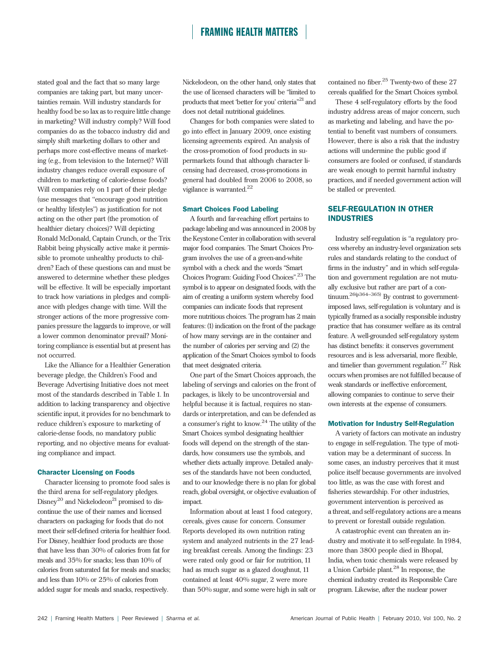stated goal and the fact that so many large companies are taking part, but many uncertainties remain. Will industry standards for healthy food be so lax as to require little change in marketing? Will industry comply? Will food companies do as the tobacco industry did and simply shift marketing dollars to other and perhaps more cost-effective means of marketing (e.g., from television to the Internet)? Will industry changes reduce overall exposure of children to marketing of calorie-dense foods? Will companies rely on 1 part of their pledge (use messages that ''encourage good nutrition or healthy lifestyles'') as justification for not acting on the other part (the promotion of healthier dietary choices)? Will depicting Ronald McDonald, Captain Crunch, or the Trix Rabbit being physically active make it permissible to promote unhealthy products to children? Each of these questions can and must be answered to determine whether these pledges will be effective. It will be especially important to track how variations in pledges and compliance with pledges change with time. Will the stronger actions of the more progressive companies pressure the laggards to improve, or will a lower common denominator prevail? Monitoring compliance is essential but at present has not occurred.

Like the Alliance for a Healthier Generation beverage pledge, the Children's Food and Beverage Advertising Initiative does not meet most of the standards described in Table 1. In addition to lacking transparency and objective scientific input, it provides for no benchmark to reduce children's exposure to marketing of calorie-dense foods, no mandatory public reporting, and no objective means for evaluating compliance and impact.

#### Character Licensing on Foods

Character licensing to promote food sales is the third arena for self-regulatory pledges. Disney<sup>20</sup> and Nickelodeon<sup>21</sup> promised to discontinue the use of their names and licensed characters on packaging for foods that do not meet their self-defined criteria for healthier food. For Disney, healthier food products are those that have less than 30% of calories from fat for meals and 35% for snacks; less than 10% of calories from saturated fat for meals and snacks; and less than 10% or 25% of calories from added sugar for meals and snacks, respectively.

Nickelodeon, on the other hand, only states that the use of licensed characters will be ''limited to products that meet 'better for you' criteria<sup>"21</sup> and does not detail nutritional guidelines.

Changes for both companies were slated to go into effect in January 2009, once existing licensing agreements expired. An analysis of the cross-promotion of food products in supermarkets found that although character licensing had decreased, cross-promotions in general had doubled from 2006 to 2008, so vigilance is warranted.<sup>22</sup>

#### Smart Choices Food Labeling

A fourth and far-reaching effort pertains to package labeling and was announced in 2008 by the Keystone Center in collaboration with several major food companies. The Smart Choices Program involves the use of a green-and-white symbol with a check and the words ''Smart Choices Program: Guiding Food Choices''.23 The symbol is to appear on designated foods, with the aim of creating a uniform system whereby food companies can indicate foods that represent more nutritious choices. The program has 2 main features: (1) indication on the front of the package of how many servings are in the container and the number of calories per serving and (2) the application of the Smart Choices symbol to foods that meet designated criteria.

One part of the Smart Choices approach, the labeling of servings and calories on the front of packages, is likely to be uncontroversial and helpful because it is factual, requires no standards or interpretation, and can be defended as a consumer's right to know.<sup>24</sup> The utility of the Smart Choices symbol designating healthier foods will depend on the strength of the standards, how consumers use the symbols, and whether diets actually improve. Detailed analyses of the standards have not been conducted, and to our knowledge there is no plan for global reach, global oversight, or objective evaluation of impact.

Information about at least 1 food category, cereals, gives cause for concern. Consumer Reports developed its own nutrition rating system and analyzed nutrients in the 27 leading breakfast cereals. Among the findings: 23 were rated only good or fair for nutrition, 11 had as much sugar as a glazed doughnut, 11 contained at least 40% sugar, 2 were more than 50% sugar, and some were high in salt or contained no fiber.<sup>25</sup> Twenty-two of these 27 cereals qualified for the Smart Choices symbol.

These 4 self-regulatory efforts by the food industry address areas of major concern, such as marketing and labeling, and have the potential to benefit vast numbers of consumers. However, there is also a risk that the industry actions will undermine the public good if consumers are fooled or confused, if standards are weak enough to permit harmful industry practices, and if needed government action will be stalled or prevented.

### SELF-REGULATION IN OTHER INDUSTRIES

Industry self-regulation is ''a regulatory process whereby an industry-level organization sets rules and standards relating to the conduct of firms in the industry'' and in which self-regulation and government regulation are not mutually exclusive but rather are part of a continuum.26(p364–365) By contrast to governmentimposed laws, self-regulation is voluntary and is typically framed as a socially responsible industry practice that has consumer welfare as its central feature. A well-grounded self-regulatory system has distinct benefits: it conserves government resources and is less adversarial, more flexible, and timelier than government regulation.27 Risk occurs when promises are not fulfilled because of weak standards or ineffective enforcement, allowing companies to continue to serve their own interests at the expense of consumers.

#### Motivation for Industry Self-Regulation

A variety of factors can motivate an industry to engage in self-regulation. The type of motivation may be a determinant of success. In some cases, an industry perceives that it must police itself because governments are involved too little, as was the case with forest and fisheries stewardship. For other industries, government intervention is perceived as a threat, and self-regulatory actions are a means to prevent or forestall outside regulation.

A catastrophic event can threaten an industry and motivate it to self-regulate. In 1984, more than 3800 people died in Bhopal, India, when toxic chemicals were released by a Union Carbide plant.<sup>28</sup> In response, the chemical industry created its Responsible Care program. Likewise, after the nuclear power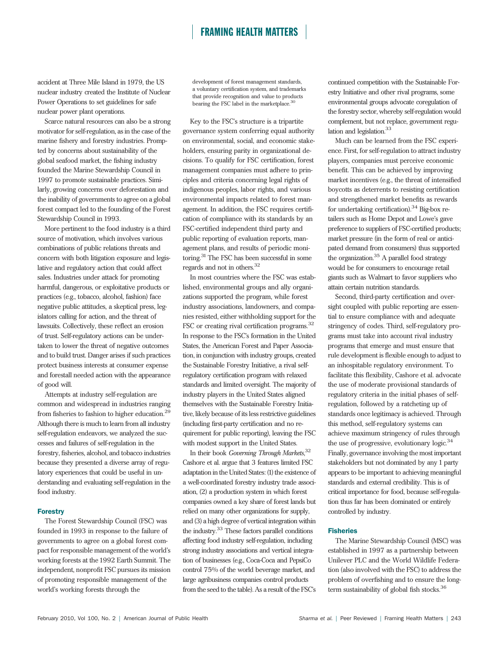accident at Three Mile Island in 1979, the US nuclear industry created the Institute of Nuclear Power Operations to set guidelines for safe nuclear power plant operations.

Scarce natural resources can also be a strong motivator for self-regulation, as in the case of the marine fishery and forestry industries. Prompted by concerns about sustainability of the global seafood market, the fishing industry founded the Marine Stewardship Council in 1997 to promote sustainable practices. Similarly, growing concerns over deforestation and the inability of governments to agree on a global forest compact led to the founding of the Forest Stewardship Council in 1993.

More pertinent to the food industry is a third source of motivation, which involves various combinations of public relations threats and concern with both litigation exposure and legislative and regulatory action that could affect sales. Industries under attack for promoting harmful, dangerous, or exploitative products or practices (e.g., tobacco, alcohol, fashion) face negative public attitudes, a skeptical press, legislators calling for action, and the threat of lawsuits. Collectively, these reflect an erosion of trust. Self-regulatory actions can be undertaken to lower the threat of negative outcomes and to build trust. Danger arises if such practices protect business interests at consumer expense and forestall needed action with the appearance of good will.

Attempts at industry self-regulation are common and widespread in industries ranging from fisheries to fashion to higher education.<sup>29</sup> Although there is much to learn from all industry self-regulation endeavors, we analyzed the successes and failures of self-regulation in the forestry, fisheries, alcohol, and tobacco industries because they presented a diverse array of regulatory experiences that could be useful in understanding and evaluating self-regulation in the food industry.

#### Forestry

The Forest Stewardship Council (FSC) was founded in 1993 in response to the failure of governments to agree on a global forest compact for responsible management of the world's working forests at the 1992 Earth Summit. The independent, nonprofit FSC pursues its mission of promoting responsible management of the world's working forests through the

development of forest management standards, a voluntary certification system, and trademarks that provide recognition and value to products bearing the FSC label in the marketplace.<sup>30</sup>

Key to the FSC's structure is a tripartite governance system conferring equal authority on environmental, social, and economic stakeholders, ensuring parity in organizational decisions. To qualify for FSC certification, forest management companies must adhere to principles and criteria concerning legal rights of indigenous peoples, labor rights, and various environmental impacts related to forest management. In addition, the FSC requires certification of compliance with its standards by an FSC-certified independent third party and public reporting of evaluation reports, management plans, and results of periodic monitoring.<sup>31</sup> The FSC has been successful in some regards and not in others.<sup>32</sup>

In most countries where the FSC was established, environmental groups and ally organizations supported the program, while forest industry associations, landowners, and companies resisted, either withholding support for the FSC or creating rival certification programs.<sup>32</sup> In response to the FSC's formation in the United States, the American Forest and Paper Association, in conjunction with industry groups, created the Sustainable Forestry Initiative, a rival selfregulatory certification program with relaxed standards and limited oversight. The majority of industry players in the United States aligned themselves with the Sustainable Forestry Initiative, likely because of its less restrictive guidelines (including first-party certification and no requirement for public reporting), leaving the FSC with modest support in the United States.

In their book *Governing Through Markets*,<sup>32</sup> Cashore et al. argue that 3 features limited FSC adaptation in the United States: (1) the existence of a well-coordinated forestry industry trade association, (2) a production system in which forest companies owned a key share of forest lands but relied on many other organizations for supply, and (3) a high degree of vertical integration within the industry.33 These factors parallel conditions affecting food industry self-regulation, including strong industry associations and vertical integration of businesses (e.g., Coca-Coca and PepsiCo control 75% of the world beverage market, and large agribusiness companies control products from the seed to the table). As a result of the FSC's continued competition with the Sustainable Forestry Initiative and other rival programs, some environmental groups advocate coregulation of the forestry sector, whereby self-regulation would complement, but not replace, government regulation and legislation.<sup>33</sup>

Much can be learned from the FSC experience. First, for self-regulation to attract industry players, companies must perceive economic benefit. This can be achieved by improving market incentives (e.g., the threat of intensified boycotts as deterrents to resisting certification and strengthened market benefits as rewards for undertaking certification). $34$  Big-box retailers such as Home Depot and Lowe's gave preference to suppliers of FSC-certified products; market pressure (in the form of real or anticipated demand from consumers) thus supported the organization.35 A parallel food strategy would be for consumers to encourage retail giants such as Walmart to favor suppliers who attain certain nutrition standards.

Second, third-party certification and oversight coupled with public reporting are essential to ensure compliance with and adequate stringency of codes. Third, self-regulatory programs must take into account rival industry programs that emerge and must ensure that rule development is flexible enough to adjust to an inhospitable regulatory environment. To facilitate this flexibility, Cashore et al. advocate the use of moderate provisional standards of regulatory criteria in the initial phases of selfregulation, followed by a ratcheting up of standards once legitimacy is achieved. Through this method, self-regulatory systems can achieve maximum stringency of rules through the use of progressive, evolutionary  $logic.<sup>34</sup>$ Finally, governance involving the most important stakeholders but not dominated by any 1 party appears to be important to achieving meaningful standards and external credibility. This is of critical importance for food, because self-regulation thus far has been dominated or entirely controlled by industry.

#### Fisheries

The Marine Stewardship Council (MSC) was established in 1997 as a partnership between Unilever PLC and the World Wildlife Federation (also involved with the FSC) to address the problem of overfishing and to ensure the longterm sustainability of global fish stocks.<sup>36</sup>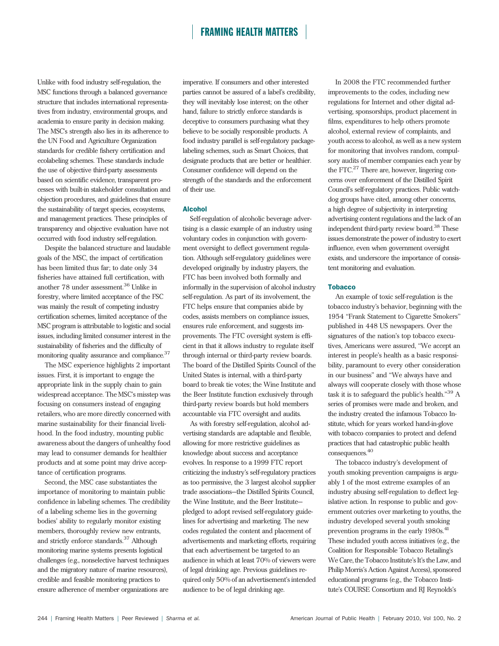Unlike with food industry self-regulation, the MSC functions through a balanced governance structure that includes international representatives from industry, environmental groups, and academia to ensure parity in decision making. The MSC's strength also lies in its adherence to the UN Food and Agriculture Organization standards for credible fishery certification and ecolabeling schemes. These standards include the use of objective third-party assessments based on scientific evidence, transparent processes with built-in stakeholder consultation and objection procedures, and guidelines that ensure the sustainability of target species, ecosystems, and management practices. These principles of transparency and objective evaluation have not occurred with food industry self-regulation.

Despite the balanced structure and laudable goals of the MSC, the impact of certification has been limited thus far; to date only 34 fisheries have attained full certification, with another 78 under assessment. $^{36}$  Unlike in forestry, where limited acceptance of the FSC was mainly the result of competing industry certification schemes, limited acceptance of the MSC program is attributable to logistic and social issues, including limited consumer interest in the sustainability of fisheries and the difficulty of monitoring quality assurance and compliance.<sup>37</sup>

The MSC experience highlights 2 important issues. First, it is important to engage the appropriate link in the supply chain to gain widespread acceptance. The MSC's misstep was focusing on consumers instead of engaging retailers, who are more directly concerned with marine sustainability for their financial livelihood. In the food industry, mounting public awareness about the dangers of unhealthy food may lead to consumer demands for healthier products and at some point may drive acceptance of certification programs.

Second, the MSC case substantiates the importance of monitoring to maintain public confidence in labeling schemes. The credibility of a labeling scheme lies in the governing bodies' ability to regularly monitor existing members, thoroughly review new entrants, and strictly enforce standards.<sup>37</sup> Although monitoring marine systems presents logistical challenges (e.g., nonselective harvest techniques and the migratory nature of marine resources), credible and feasible monitoring practices to ensure adherence of member organizations are

imperative. If consumers and other interested parties cannot be assured of a label's credibility, they will inevitably lose interest; on the other hand, failure to strictly enforce standards is deceptive to consumers purchasing what they believe to be socially responsible products. A food industry parallel is self-regulatory packagelabeling schemes, such as Smart Choices, that designate products that are better or healthier. Consumer confidence will depend on the strength of the standards and the enforcement of their use.

#### Alcohol

Self-regulation of alcoholic beverage advertising is a classic example of an industry using voluntary codes in conjunction with government oversight to deflect government regulation. Although self-regulatory guidelines were developed originally by industry players, the FTC has been involved both formally and informally in the supervision of alcohol industry self-regulation. As part of its involvement, the FTC helps ensure that companies abide by codes, assists members on compliance issues, ensures rule enforcement, and suggests improvements. The FTC oversight system is efficient in that it allows industry to regulate itself through internal or third-party review boards. The board of the Distilled Spirits Council of the United States is internal, with a third-party board to break tie votes; the Wine Institute and the Beer Institute function exclusively through third-party review boards but hold members accountable via FTC oversight and audits.

As with forestry self-regulation, alcohol advertising standards are adaptable and flexible, allowing for more restrictive guidelines as knowledge about success and acceptance evolves. In response to a 1999 FTC report criticizing the industry's self-regulatory practices as too permissive, the 3 largest alcohol supplier trade associations—the Distilled Spirits Council, the Wine Institute, and the Beer Institute pledged to adopt revised self-regulatory guidelines for advertising and marketing. The new codes regulated the content and placement of advertisements and marketing efforts, requiring that each advertisement be targeted to an audience in which at least 70% of viewers were of legal drinking age. Previous guidelines required only 50% of an advertisement's intended audience to be of legal drinking age.

In 2008 the FTC recommended further improvements to the codes, including new regulations for Internet and other digital advertising, sponsorships, product placement in films, expenditures to help others promote alcohol, external review of complaints, and youth access to alcohol, as well as a new system for monitoring that involves random, compulsory audits of member companies each year by the FTC. $27$  There are, however, lingering concerns over enforcement of the Distilled Spirit Council's self-regulatory practices. Public watchdog groups have cited, among other concerns, a high degree of subjectivity in interpreting advertising content regulations and the lack of an independent third-party review board.<sup>38</sup> These issues demonstrate the power of industry to exert influence, even when government oversight exists, and underscore the importance of consistent monitoring and evaluation.

#### **Tobacco**

An example of toxic self-regulation is the tobacco industry's behavior, beginning with the 1954 ''Frank Statement to Cigarette Smokers'' published in 448 US newspapers. Over the signatures of the nation's top tobacco executives, Americans were assured, ''We accept an interest in people's health as a basic responsibility, paramount to every other consideration in our business'' and ''We always have and always will cooperate closely with those whose task it is to safeguard the public's health."<sup>39</sup> A series of promises were made and broken, and the industry created the infamous Tobacco Institute, which for years worked hand-in-glove with tobacco companies to protect and defend practices that had catastrophic public health consequences.40

The tobacco industry's development of youth smoking prevention campaigns is arguably 1 of the most extreme examples of an industry abusing self-regulation to deflect legislative action. In response to public and government outcries over marketing to youths, the industry developed several youth smoking prevention programs in the early 1980s.<sup>41</sup> These included youth access initiatives (e.g., the Coalition for Responsible Tobacco Retailing's We Care, the Tobacco Institute's It's the Law, and Philip Morris's Action Against Access), sponsored educational programs (e.g., the Tobacco Institute's COURSE Consortium and RJ Reynolds's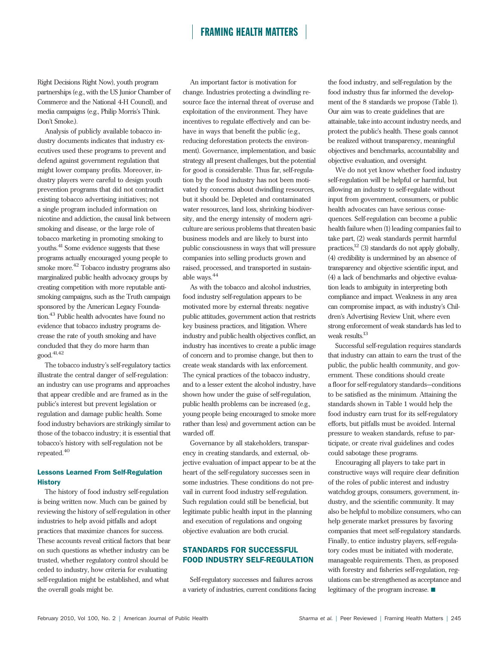Right Decisions Right Now), youth program partnerships (e.g., with the US Junior Chamber of Commerce and the National 4-H Council), and media campaigns (e.g., Philip Morris's Think. Don't Smoke.).

Analysis of publicly available tobacco industry documents indicates that industry executives used these programs to prevent and defend against government regulation that might lower company profits. Moreover, industry players were careful to design youth prevention programs that did not contradict existing tobacco advertising initiatives; not a single program included information on nicotine and addiction, the causal link between smoking and disease, or the large role of tobacco marketing in promoting smoking to youths.<sup>41</sup> Some evidence suggests that these programs actually encouraged young people to smoke more.<sup>42</sup> Tobacco industry programs also marginalized public health advocacy groups by creating competition with more reputable antismoking campaigns, such as the Truth campaign sponsored by the American Legacy Foundation.<sup>43</sup> Public health advocates have found no evidence that tobacco industry programs decrease the rate of youth smoking and have concluded that they do more harm than good.41,42

The tobacco industry's self-regulatory tactics illustrate the central danger of self-regulation: an industry can use programs and approaches that appear credible and are framed as in the public's interest but prevent legislation or regulation and damage public health. Some food industry behaviors are strikingly similar to those of the tobacco industry; it is essential that tobacco's history with self-regulation not be repeated.<sup>40</sup>

### Lessons Learned From Self-Regulation **History**

The history of food industry self-regulation is being written now. Much can be gained by reviewing the history of self-regulation in other industries to help avoid pitfalls and adopt practices that maximize chances for success. These accounts reveal critical factors that bear on such questions as whether industry can be trusted, whether regulatory control should be ceded to industry, how criteria for evaluating self-regulation might be established, and what the overall goals might be.

An important factor is motivation for change. Industries protecting a dwindling resource face the internal threat of overuse and exploitation of the environment. They have incentives to regulate effectively and can behave in ways that benefit the public (e.g., reducing deforestation protects the environment). Governance, implementation, and basic strategy all present challenges, but the potential for good is considerable. Thus far, self-regulation by the food industry has not been motivated by concerns about dwindling resources, but it should be. Depleted and contaminated water resources, land loss, shrinking biodiversity, and the energy intensity of modern agriculture are serious problems that threaten basic business models and are likely to burst into public consciousness in ways that will pressure companies into selling products grown and raised, processed, and transported in sustainable ways.44

As with the tobacco and alcohol industries, food industry self-regulation appears to be motivated more by external threats: negative public attitudes, government action that restricts key business practices, and litigation. Where industry and public health objectives conflict, an industry has incentives to create a public image of concern and to promise change, but then to create weak standards with lax enforcement. The cynical practices of the tobacco industry, and to a lesser extent the alcohol industry, have shown how under the guise of self-regulation, public health problems can be increased (e.g., young people being encouraged to smoke more rather than less) and government action can be warded off.

Governance by all stakeholders, transparency in creating standards, and external, objective evaluation of impact appear to be at the heart of the self-regulatory successes seen in some industries. These conditions do not prevail in current food industry self-regulation. Such regulation could still be beneficial, but legitimate public health input in the planning and execution of regulations and ongoing objective evaluation are both crucial.

### STANDARDS FOR SUCCESSFUL FOOD INDUSTRY SELF-REGULATION

Self-regulatory successes and failures across a variety of industries, current conditions facing the food industry, and self-regulation by the food industry thus far informed the development of the 8 standards we propose (Table 1). Our aim was to create guidelines that are attainable, take into account industry needs, and protect the public's health. These goals cannot be realized without transparency, meaningful objectives and benchmarks, accountability and objective evaluation, and oversight.

We do not yet know whether food industry self-regulation will be helpful or harmful, but allowing an industry to self-regulate without input from government, consumers, or public health advocates can have serious consequences. Self-regulation can become a public health failure when (1) leading companies fail to take part, (2) weak standards permit harmful practices, $^{12}$  (3) standards do not apply globally, (4) credibility is undermined by an absence of transparency and objective scientific input, and (4) a lack of benchmarks and objective evaluation leads to ambiguity in interpreting both compliance and impact. Weakness in any area can compromise impact, as with industry's Children's Advertising Review Unit, where even strong enforcement of weak standards has led to weak results. $^{13}$ 

Successful self-regulation requires standards that industry can attain to earn the trust of the public, the public health community, and government. These conditions should create a floor for self-regulatory standards—conditions to be satisfied as the minimum. Attaining the standards shown in Table 1 would help the food industry earn trust for its self-regulatory efforts, but pitfalls must be avoided. Internal pressure to weaken standards, refuse to participate, or create rival guidelines and codes could sabotage these programs.

Encouraging all players to take part in constructive ways will require clear definition of the roles of public interest and industry watchdog groups, consumers, government, industry, and the scientific community. It may also be helpful to mobilize consumers, who can help generate market pressures by favoring companies that meet self-regulatory standards. Finally, to entice industry players, self-regulatory codes must be initiated with moderate, manageable requirements. Then, as proposed with forestry and fisheries self-regulation, regulations can be strengthened as acceptance and legitimacy of the program increase.  $\blacksquare$